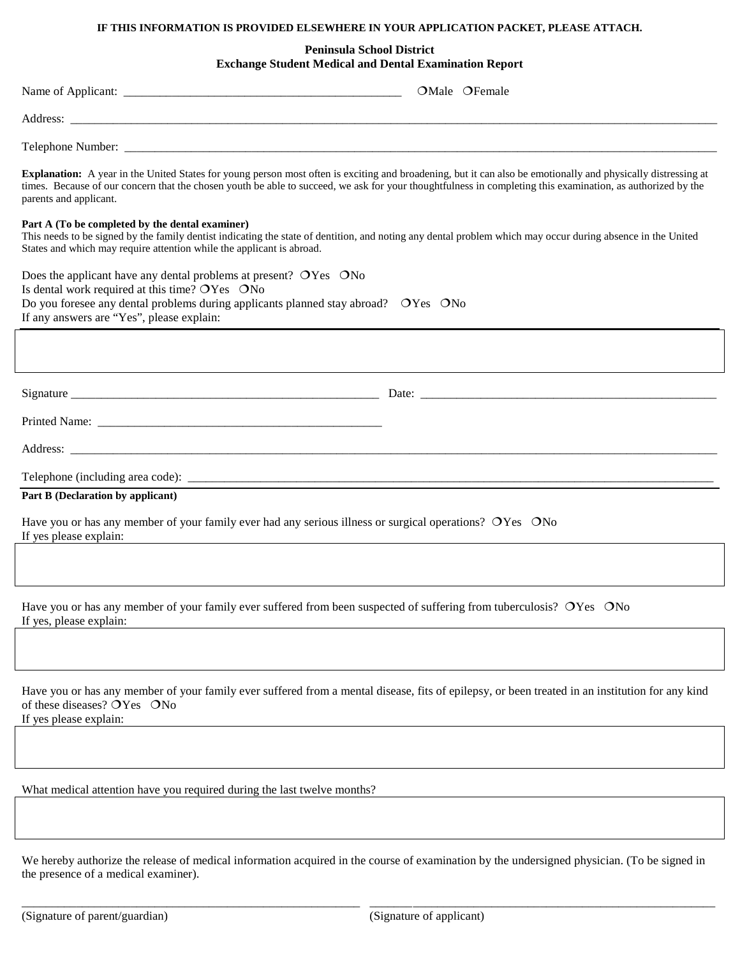# **IF THIS INFORMATION IS PROVIDED ELSEWHERE IN YOUR APPLICATION PACKET, PLEASE ATTACH.**

## **Peninsula School District Exchange Student Medical and Dental Examination Report**

|                                                                                                                                                                                                                                                                                                                                                        |  | OMale OFemale |  |  |
|--------------------------------------------------------------------------------------------------------------------------------------------------------------------------------------------------------------------------------------------------------------------------------------------------------------------------------------------------------|--|---------------|--|--|
|                                                                                                                                                                                                                                                                                                                                                        |  |               |  |  |
|                                                                                                                                                                                                                                                                                                                                                        |  |               |  |  |
| Explanation: A year in the United States for young person most often is exciting and broadening, but it can also be emotionally and physically distressing at<br>times. Because of our concern that the chosen youth be able to succeed, we ask for your thoughtfulness in completing this examination, as authorized by the<br>parents and applicant. |  |               |  |  |
| Part A (To be completed by the dental examiner)<br>This needs to be signed by the family dentist indicating the state of dentition, and noting any dental problem which may occur during absence in the United<br>States and which may require attention while the applicant is abroad.                                                                |  |               |  |  |
| Does the applicant have any dental problems at present? OYes ONo<br>Is dental work required at this time? OYes ONo<br>Do you foresee any dental problems during applicants planned stay abroad? OYes ONo<br>If any answers are "Yes", please explain:                                                                                                  |  |               |  |  |
|                                                                                                                                                                                                                                                                                                                                                        |  |               |  |  |
|                                                                                                                                                                                                                                                                                                                                                        |  |               |  |  |
|                                                                                                                                                                                                                                                                                                                                                        |  |               |  |  |
|                                                                                                                                                                                                                                                                                                                                                        |  |               |  |  |
|                                                                                                                                                                                                                                                                                                                                                        |  |               |  |  |
| Part B (Declaration by applicant)                                                                                                                                                                                                                                                                                                                      |  |               |  |  |
| Have you or has any member of your family ever had any serious illness or surgical operations? OYes ONo<br>If yes please explain:                                                                                                                                                                                                                      |  |               |  |  |
|                                                                                                                                                                                                                                                                                                                                                        |  |               |  |  |
| Have you or has any member of your family ever suffered from been suspected of suffering from tuberculosis? OYes ONo<br>If yes, please explain:                                                                                                                                                                                                        |  |               |  |  |
|                                                                                                                                                                                                                                                                                                                                                        |  |               |  |  |
| Have you or has any member of your family ever suffered from a mental disease, fits of epilepsy, or been treated in an institution for any kind<br>of these diseases? OYes ONo<br>If yes please explain:                                                                                                                                               |  |               |  |  |
|                                                                                                                                                                                                                                                                                                                                                        |  |               |  |  |
| What medical attention have you required during the last twelve months?                                                                                                                                                                                                                                                                                |  |               |  |  |
|                                                                                                                                                                                                                                                                                                                                                        |  |               |  |  |
| We hereby authorize the release of medical information acquired in the course of examination by the undersigned physician. (To be signed in<br>the presence of a medical examiner).                                                                                                                                                                    |  |               |  |  |

\_\_\_\_\_\_\_\_\_\_\_\_\_\_\_\_\_\_\_\_\_\_\_\_\_\_\_\_\_\_\_\_\_\_\_\_\_\_\_\_\_\_\_\_\_\_\_\_\_\_\_\_\_\_\_\_ \_\_\_\_\_\_\_\_\_\_\_\_\_\_\_\_\_\_\_\_\_\_\_\_\_\_\_\_\_\_\_\_\_\_\_\_\_\_\_\_\_\_\_\_\_\_\_\_\_\_\_\_\_\_\_\_\_